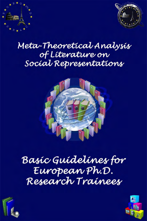



# Meta-Theoretical Analysis of Líterature on Socíal Representations



# Basic Guidelines for European Ph.D. Research Trainees



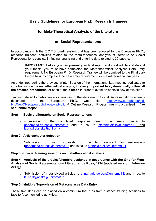# **Basic Guidelines for European Ph.D. Research Trainees**

## **for Meta-Theoretical Analysis of the Literature**

## **on Social Representations**

In accordance with the E.C.T.S. credit system that has been adopted by the European Ph.D., research trainees' activities related to the meta-theoretical analysis of literature on Social Representations consists in finding, analysing and entering data related to 30 papers.

> **IMPORTANT:** Before you can present your final report and short article and defend your thesis, you must have completed the Meta-theoretical Analyses Data Entry requirement. No European Ph.D. Research Trainee will be admitted to the Final Jury before having completed the data entry requirement for meta-theoretical analyses.

As underlined during the previous Winter Session of the International Lab meeting dedicated to your training on the meta-theoretical analysis, **it is very important to systematically follow all the detailed procedures** for each of the **5 steps** in order to avoid an endless flow of mistakes.

Training related to meta-theoretical analysis of the literature on Social Representations – briefly described on the European Ph.D. web site (http://www.europhd.eu/cgibin/WebObjects/europhd.woa/wa/biblio → Outline Research Programme) – is organised in **five sequential steps:** 

#### **Step 1 - Basic bibliography on Social Representations**

 $\circ$  submission of the completed response form in a timely manner to annamaria.derosa@uniroma1.it and in cc. to stefania.aiello@uniroma1.it and laura.dryjanska@uniroma1.it

#### **Step 2 - Article/chapter detection**

o Submission of your proposals to the lab assistant for metanalysis (annamaria.derosa@uniroma1.it and in cc. to stefania.aiello@uniroma1.it)

#### **Step 3 - Special training sessions on meta-theoretical analysis**

**Step 4 - Analysis of the articles/chapters assigned in accordance with the Grid for Meta-Analysis of Social Representations Literature (de Rosa, 1994 [updated version: February 2012]);** 

o Submission of metanalysed articles to annamaria.derosa@uniroma1.it and in cc. to laura.dryjanska@uniroma1.it

#### **Step 5** - **Multiple Supervision of Meta-analyses Data Entry**

These five steps can be placed on a continuum that runs from distance training sessions to face-to-face monitoring activities.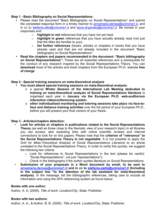#### **Step 1 - Basic Bibliography on Social Representations:**

- Please read the document "Basic Bibliography on Social Representations" and submit the completed response form in a timely manner to annamaria.derosa@uniroma1.it, and in cc to stefania.aillo@uniroma1.it and laura.dryjanska@uniroma1.it. Be honest in your responses and:
	- o **highlight in red** references that you have not yet read;
	- o **highlight in green** references that you have actually already read (not just that the titles are familiar to you);
	- o **list further references** (books, articles or chapters in books that you have already read and that are not already included in the document "Basic bibliography on Social Representations"
- **Read the chapters and papers recommended in the document: "Basic bibliography on Social Representations":** These are all essential references and a prerequisite for the conduct of any research inspired by the Social Representations Theory. You can **download** most of the articles and book chapters from the European Ph.D. website **free of charge**

#### **Step 2 - Special training sessions on meta-theoretical analysis**

- **You must attend special training sessions on meta-theoretical analysis:** 
	- o a special **Winter Session of the International Lab Meeting dedicated to training on meta-theoretical analysis of Social Representations literature** is organised each year in **January via the European Ph.D. web-auditorium interactive videoconferencing system.**
	- o **other individualised monitoring and tutoring sessions take place via face-toface and distance training activities** over the full period of your European Ph.D., before you will present your final version of your thesis.

#### **Step 3 - Articles/chapters detection:**

- **Look for articles or chapters in publications related to the Social Representations Theory** (as well as those close to the thematic view of your research topic) in all libraries you can access, also exploiting links with online scientific reviews and internet connections to look for on line papers. Please note that the **criterion of "relevance" to the Social Representations Theory is not negotiable**. It is not possible to apply the *Grid for Meta-Theoretical Analysis of Social Representations Literature* to an article unrelated to the Social Representations Theory. In order to verify this quickly, we suggest the following two criteria:
	- o Look for references to Social Representations in the text (please be careful: "Social Representations", not just "representations");
- o Check in the bibliography if the author quotes literature on Social Representations. • **Submission of your proposals in a Word document by email, to be sent to annamaria.derosa@uniroma1.it and in cc to stefania.aiello@uniroma1.it (Including in the subject line "to the attention of the lab assistant for meta-theoretical analysis)**. In the message, list the bibliographic references, taking care to include all information and using the APA referencing system as found below:

#### **Books with one author:**

Author, A. A. (2005). *Title of work.* Location/City, State: Publisher.

#### **Books with two authors:**

Author, A. A., & Author, B. B. (2005). *Title of work.* Location/City, State: Publisher.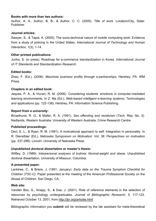#### **Books with more than two authors:**

Author, A. A., Author, B. B., & Author, C. C. (2005). *Title of work.* Location/City, State: Publisher.

#### **Journal articles:**

Sawyer, S., & Tapia, A. (2005). The socio-technical nature of mobile computing work: Evidence from a study of policing in the United States. *International Journal of Technology and Human Interaction, 1*(3), 1-14.

#### **Other printed publications:**

Junho, S. (in press). Roadmap for e-commerce standardization in Korea. *International Journal of IT Standards and Standardization Research.* 

#### **Edited books:**

Zhao, F. (Ed.). (2006). *Maximize business profits through e-partnerships.* Hershey, PA: IRM Press.

#### **Chapters in an edited book:**

Jaques, P. A., & Viccari, R. M. (2006). Considering students' emotions in computer-mediated learning environments. In Z. Ma (Ed.), *Web-based intelligent e-learning systems: Technologies and applications* (pp. 122-138). Hershey, PA: Information Science Publishing.

#### **Report from a university:**

Broadhurst, R. G., & Maller, R. A. (1991). *Sex offending and recidivism* (Tech. Rep. No. 3). Nedlands, Western Australia: University of Western Australia, Crime Research Centre.

#### **Published proceedings:**

Deci, E. L., & Ryan, R. M. (1991). A motivational approach to self: Integration in personality. In R. Dienstbier (Ed.), *Nebraska Symposium on Motivation: Vol. 38. Perspectives on motivation*  (pp. 237-288). Lincoln: University of Nebraska Press.

#### **Unpublished doctoral dissertation or master's thesis:**

Wilfley, D. (1989). *Interpersonal analyses of bulimia: Normal-weight and obese.* Unpublished doctoral dissertation, University of Missouri, Columbia.

#### **A presented paper:**

Lanktree, C., & Briere, J. (1991, January). *Early data on the Trauma Symptom Checklist for Children (TSC-C).* Paper presented at the meeting of the American Professional Society on the Abuse of Children, San Diego, CA.

#### **Web site:**

Vanden Bos, G., Knapp, S., & Doe, J. (2001). Role of reference elements in the selection of resources by psychology undergraduates. *Journal of Bibliographic Research, 5,* 117-123. Retrieved October 13, 2001, from http://jbr.org/articles.html

Bibliographic information you **submit** will be reviewed by the lab assistant for meta-theoretical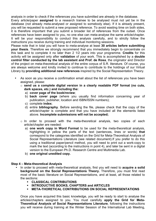analysis in order to check if the references you have submitted are already in the database.

Every article/paper **assigned** to a research trainee to be analysed must not yet be in the database (not already meta-analysed or assigned to somebody else). If it is already present, you will be requested to submit a new proposed reference. To avoid wasting time on both sides, it is therefore important that you submit a broader list of references from the outset. Once references have been assigned to you, no one else can meta-analyse the same article/chapter. It will be your responsibility to conduct this analysis carefully, and to strictly follow the instructions you receive during training and individual monitoring sessions.

Please note that in total you will have to meta-analyse at least **30 articles before submitting your thesis**. Therefore we strongly recommend that you immediately begin to concentrate on this task and to complete it no later than 2 1/2 years into your programme. **Credits** for this activity will be assigned only after **validation** of your work. This is accomplished by a **double control filter conducted by the lab assistant and Prof. de Rosa**, the originator and Director of the project on meta-theoretical analysis of the entire corpus of S.R. literature. Of course, you are always welcome and kindly invited to continue to contribute to the holdings of our Virtual Library by **providing additional new references** inspired by the Social Representation Theory.

- As soon as you receive a confirmation email about the list of references you have been assigned, please:
	- o **send us a complete digital version in a clearly readable PDF format (no cuts, dark spaces, etc.) and including the:** 
		- a) **cover page of the book/review**;
		- b) **back cover page** (where you usually find information concerning year of publication, publisher, location and ISBN/ISSN numbers);
		- c) complete **index**;
		- d) entire **bibliography**. Before sending the file, please check that the copy of the article/chapter is complete and that you have included all the elements listed above. **Incomplete submissions will not be accepted;**
	- o In order to proceed with the meta-theoretical analysis, two copies of each article/chapter are needed:
		- a) **one work copy in Word Format** to be used for the meta-theoretical analysis, highlighting in yellow the parts of the text (sentences, lines or words) **that**  correspond to the categories identified on the Grid for Meta-Theoretical Analysis of Social Representations Literature (see related document).If you prefer to do this using a traditional paper/pencil method, you will need to print out a work-copy to mark the text (according to the instructions in point 4), and later be sent in a digital version to the European Ph.D. Research Centre and Multimedia Lab.
		- b) **one original unedited copy.**

#### **Step 4 – Meta-theoretical Analysis**

- In order to proceed with meta-theoretical analysis, first you will need to **acquire a solid background on the Social Representations Theory.** Therefore, you must first read most of the basic literature on Social Representations, and at least, all those related to the sections:
	- **CLASSICAL CONTRIBUTIONS**
	- **INTRODUCTIVE BOOKS, CHAPTERS and ARTICLES**
	- **META-THORETICAL CONTRIBUTIONS ON SOCIAL REPRESENTATIONS**

Once you have acquired this basic knowledge, you will be ready to start to analyse the articles/chapters assigned to you. You must carefully **apply the Grid for Meta-Theoretical Analysis of Social Representations Literature**, following the instructions you will receive during training at the Winter Session of the International Lab Meeting,